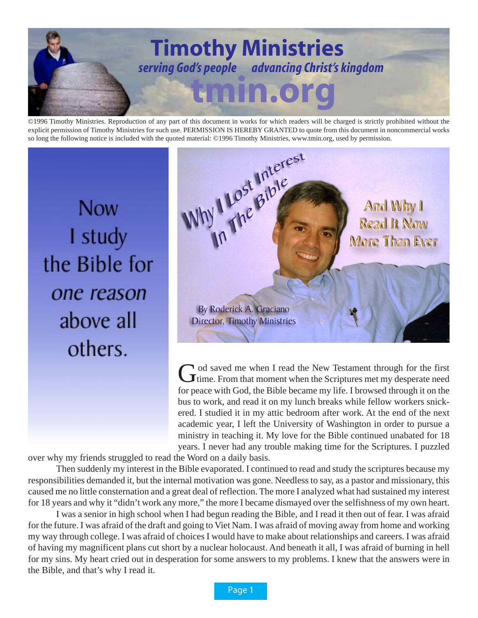

©1996 Timothy Ministries. Reproduction of any part of this document in works for which readers will be charged is strictly prohibited without the explicit permission of Timothy Ministries for such use. PERMISSION IS HEREBY GRANTED to quote from this document in noncommercial works

**Now** I study the Bible for one reason above all others.



God saved me when I read the New Testament through for the first<br>time. From that moment when the Scriptures met my desperate need for peace with God, the Bible became my life. I browsed through it on the bus to work, and read it on my lunch breaks while fellow workers snickered. I studied it in my attic bedroom after work. At the end of the next academic year, I left the University of Washington in order to pursue a ministry in teaching it. My love for the Bible continued unabated for 18 years. I never had any trouble making time for the Scriptures. I puzzled

over why my friends struggled to read the Word on a daily basis.

Then suddenly my interest in the Bible evaporated. I continued to read and study the scriptures because my responsibilities demanded it, but the internal motivation was gone. Needless to say, as a pastor and missionary, this caused me no little consternation and a great deal of reflection. The more I analyzed what had sustained my interest for 18 years and why it "didn't work any more," the more I became dismayed over the selfishness of my own heart.

I was a senior in high school when I had begun reading the Bible, and I read it then out of fear. I was afraid for the future. I was afraid of the draft and going to Viet Nam. I was afraid of moving away from home and working my way through college. I was afraid of choices I would have to make about relationships and careers. I was afraid of having my magnificent plans cut short by a nuclear holocaust. And beneath it all, I was afraid of burning in hell for my sins. My heart cried out in desperation for some answers to my problems. I knew that the answers were in the Bible, and that's why I read it.